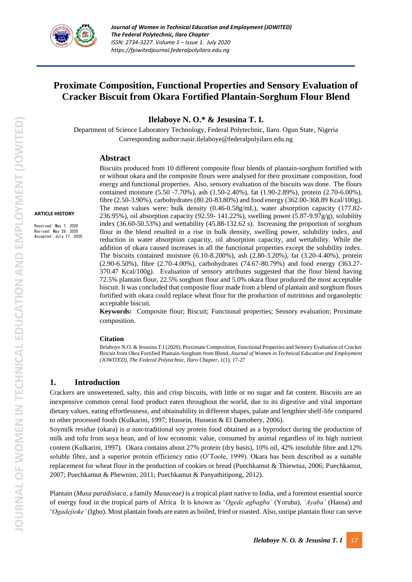

# **Proximate Composition, Functional Properties and Sensory Evaluation of Cracker Biscuit from Okara Fortified Plantain-Sorghum Flour Blend**

**Ilelaboye N. O.\* & Jesusina T. I.**

Department of Science Laboratory Technology, Federal Polytechnic, Ilaro. Ogun State, Nigeria Corresponding author:nasir.ilelaboye@federalpolyilaro.edu.ng

### **Abstract**

#### **ARTICLE HISTORY**

Received: May 7, 2020 Revised: May 29, 2020 Accepted: July 17, 2020

Biscuits produced from 10 different composite flour blends of plantain-sorghum fortified with or without okara and the composite flours were analysed for their proximate composition, food energy and functional properties. Also, sensory evaluation of the biscuits was done. The flours contained moisture (5.50 -7.70%), ash (1.50-2.40%), fat (1.90-2.89%), protein (2.70-6.00%), fibre (2.50-3.90%), carbohydrates (80.20-83.80%) and food energy (362.00-368.89 Kcal/100g). The mean values were: bulk density (0.46-0.58g/mL), water absorption capacity (177.82- 236.95%), oil absorption capacity (92.59- 141.22%), swelling power (5.87-9.97 $g/g$ ), solubility index (36.60-50.53%) and wettability (45.88-132.62 s). Increasing the proportion of sorghum flour in the blend resulted in a rise in bulk density, swelling power, solubility index, and reduction in water absorption capacity, oil absorption capacity, and wettability. While the addition of okara caused increases in all the functional properties except the solubility index. The biscuits contained moisture (6.10-8.200%), ash (2.80-3.20%), fat (3.20-4.40%), protein (2.90-6.50%), fibre (2.70-4.00%), carbohydrates (74.67-80.79%) and food energy (363.27- 370.47 Kcal/100g). Evaluation of sensory attributes suggested that the flour blend having 72.5% plantain flour, 22.5% sorghum flour and 5.0% okara flour produced the most acceptable biscuit. It was concluded that composite flour made from a blend of plantain and sorghum flours fortified with okara could replace wheat flour for the production of nutritious and organoleptic acceptable biscuit.

**Keywords:** Composite flour; Biscuit; Functional properties; Sensory evaluation; Proximate composition.

#### **Citation**

Ilelaboye N.O. & Jesusina T.I (2020). Proximate Composition, Functional Properties and Sensory Evaluation of Cracker Biscuit from Okra Fortified Plantain-Sorghum from Blend, *Journal of Women in Technical Education and Employment (JOWITED), The Federal Polytechnic, Ilaro Chapter*, 1(1), 17-27

## **1. Introduction**

Crackers are unsweetened, salty, thin and crisp biscuits, with little or no sugar and fat content. Biscuits are an inexpensive common cereal food product eaten throughout the world, due to its digestive and vital important dietary values, eating effortlessness, and obtainability in different shapes, palate and lengthier shelf-life compared to other processed foods (Kulkarini, 1997; Hussein, Hussein & El Damohery, 2006).

Soymilk residue (okara) is *a* non-traditional soy protein food obtained as a byproduct during the production of milk and tofu from soya bean, and of low economic value, consumed by animal regardless of its high nutrient content (Kulkarini, 1997). Okara contains about 27% protein (dry basis), 10% oil, 42% insoluble fibre and 12% soluble fibre, and a superior protein efficiency ratio (O'Toole, 1999). Okara has been described as a suitable replacement for wheat flour in the production of cookies or bread (Puechkamut & Thiewtua, 2006; Puechkamut, 2007; Puechkamut & Phewnim, 2011; Puechkamut & Panyathitipong, 2012).

Plantain (*Musa paradisiaca,* a family *Musaceae)* is a tropical plant native to India, and a foremost essential source of energy food in the tropical parts of Africa It is known as '*Ogede agbagba'* (Yoruba), *'Ayaba'* (Hausa) and '*Ogadejioke'* (Igbo). Most plantain foods are eaten as boiled, fried or roasted. Also, unripe plantain flour can serve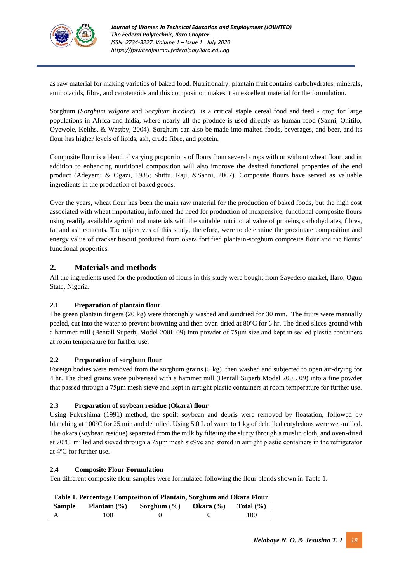

as raw material for making varieties of baked food. Nutritionally, plantain fruit contains carbohydrates, minerals, amino acids, fibre, and carotenoids and this composition makes it an excellent material for the formulation.

Sorghum (*Sorghum vulgare* and *Sorghum bicolor*) is a critical staple cereal food and feed - crop for large populations in Africa and India, where nearly all the produce is used directly as human food (Sanni, Onitilo, Oyewole, Keiths, & Westby, 2004). Sorghum can also be made into malted foods, beverages, and beer, and its flour has higher levels of lipids, ash, crude fibre, and protein.

Composite flour is a blend of varying proportions of flours from several crops with or without wheat flour, and in addition to enhancing nutritional composition will also improve the desired functional properties of the end product (Adeyemi & Ogazi, 1985; Shittu, Raji, &Sanni, 2007). Composite flours have served as valuable ingredients in the production of baked goods.

Over the years, wheat flour has been the main raw material for the production of baked foods, but the high cost associated with wheat importation, informed the need for production of inexpensive, functional composite flours using readily available agricultural materials with the suitable nutritional value of proteins, carbohydrates, fibres, fat and ash contents. The objectives of this study, therefore, were to determine the proximate composition and energy value of cracker biscuit produced from okara fortified plantain-sorghum composite flour and the flours' functional properties.

# **2. Materials and methods**

All the ingredients used for the production of flours in this study were bought from Sayedero market, Ilaro, Ogun State, Nigeria.

## **2.1 Preparation of plantain flour**

The green plantain fingers (20 kg) were thoroughly washed and sundried for 30 min. The fruits were manually peeled, cut into the water to prevent browning and then oven-dried at 80<sup>o</sup>C for 6 hr. The dried slices ground with a hammer mill (Bentall Superb, Model 200L 09) into powder of 75μm size and kept in sealed plastic containers at room temperature for further use.

### **2.2 Preparation of sorghum flour**

Foreign bodies were removed from the sorghum grains (5 kg), then washed and subjected to open air-drying for 4 hr. The dried grains were pulverised with a hammer mill (Bentall Superb Model 200L 09) into a fine powder that passed through a 75μm mesh sieve and kept in airtight plastic containers at room temperature for further use.

### **2.3 Preparation of soybean residue (Okara) flour**

Using Fukushima (1991) method, the spoilt soybean and debris were removed by floatation, followed by blanching at  $100^{\circ}$ C for 25 min and dehulled. Using 5.0 L of water to 1 kg of dehulled cotyledons were wet-milled. The okara **(**soybean residue**)** separated from the milk by filtering the slurry through a muslin cloth, and oven-dried at 70<sup>o</sup>C, milled and sieved through a 75μm mesh sie9ve and stored in airtight plastic containers in the refrigerator at 4°C for further use.

### **2.4 Composite Flour Formulation**

Ten different composite flour samples were formulated following the flour blends shown in Table 1.

| Table 1. Percentage Composition of Plantain, Sorghum and Okara Flour                  |    |  |  |     |  |  |  |
|---------------------------------------------------------------------------------------|----|--|--|-----|--|--|--|
| Sample<br><b>Plantain</b> $(\%)$<br>Sorghum $(\% )$<br>Total $(\% )$<br>Okara $(\% )$ |    |  |  |     |  |  |  |
| A                                                                                     | 00 |  |  | 100 |  |  |  |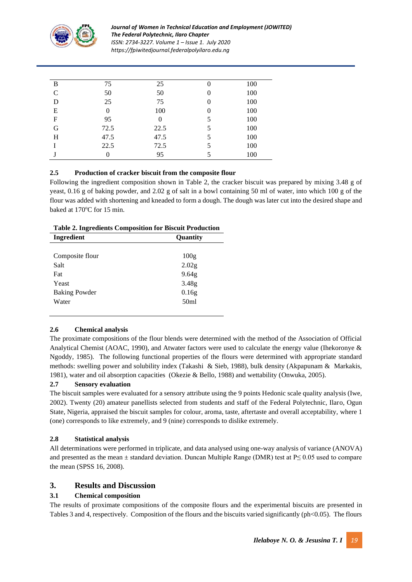

*Journal of Women in Technical Education and Employment (JOWITED) The Federal Polytechnic, Ilaro Chapter ISSN: 2734-3227. Volume 1 – Issue 1. July 2020 https://fpiwitedjournal.federalpolyilaro.edu.ng*

| B                         | 75       | 25             | 0 | 100 |
|---------------------------|----------|----------------|---|-----|
| $\mathsf{C}$              | 50       | 50             | 0 | 100 |
| D                         | 25       | 75             | 0 | 100 |
| E                         | $\theta$ | 100            | 0 | 100 |
| $\boldsymbol{\mathrm{F}}$ | 95       | $\overline{0}$ | 5 | 100 |
| G                         | 72.5     | 22.5           | 5 | 100 |
| H                         | 47.5     | 47.5           |   | 100 |
|                           | 22.5     | 72.5           | 5 | 100 |
|                           | $\Omega$ | 95             |   | 100 |

## **2.5 Production of cracker biscuit from the composite flour**

Following the ingredient composition shown in Table 2, the cracker biscuit was prepared by mixing 3.48 g of yeast, 0.16 g of baking powder, and 2.02 g of salt in a bowl containing 50 ml of water, into which 100 g of the flour was added with shortening and kneaded to form a dough. The dough was later cut into the desired shape and baked at  $170^{\circ}$ C for 15 min.

| Table 2. High editing Composition for Discult 1 Founction |                   |
|-----------------------------------------------------------|-------------------|
| Ingredient                                                | <b>Ouantity</b>   |
|                                                           |                   |
| Composite flour                                           | 100g              |
| Salt                                                      | 2.02 <sub>g</sub> |
| Fat                                                       | 9.64g             |
| Yeast                                                     | 3.48 <sub>g</sub> |
| <b>Baking Powder</b>                                      | 0.16g             |

Water 50ml

# **Table 2. Ingredients Composition for Biscuit Production**

## **2.6 Chemical analysis**

The proximate compositions of the flour blends were determined with the method of the Association of Official Analytical Chemist (AOAC, 1990), and Atwater factors were used to calculate the energy value (Ihekoronye & Ngoddy, 1985). The following functional properties of the flours were determined with appropriate standard methods: swelling power and solubility index (Takashi & Sieb, 1988), bulk density (Akpapunam & Markakis, 1981), water and oil absorption capacities (Okezie & Bello, 1988) and wettability (Onwuka, 2005).

## **2.7 Sensory evaluation**

The biscuit samples were evaluated for a sensory attribute using the 9 points Hedonic scale quality analysis (Iwe, 2002). Twenty (20) amateur panellists selected from students and staff of the Federal Polytechnic, Ilaro, Ogun State, Nigeria, appraised the biscuit samples for colour, aroma, taste, aftertaste and overall acceptability, where 1 (one) corresponds to like extremely, and 9 (nine) corresponds to dislike extremely.

## **2.8 Statistical analysis**

All determinations were performed in triplicate, and data analysed using one-way analysis of variance (ANOVA) and presented as the mean  $\pm$  standard deviation. Duncan Multiple Range (DMR) test at P $\leq$  0.05 used to compare the mean (SPSS 16, 2008).

## **3. Results and Discussion**

## **3.1 Chemical composition**

The results of proximate compositions of the composite flours and the experimental biscuits are presented in Tables 3 and 4, respectively. Composition of the flours and the biscuits varied significantly (ph<0.05). The flours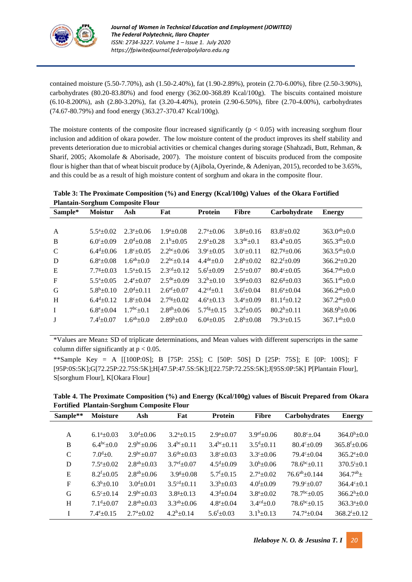

contained moisture (5.50-7.70%), ash (1.50-2.40%), fat (1.90-2.89%), protein (2.70-6.00%), fibre (2.50-3.90%), carbohydrates (80.20-83.80%) and food energy (362.00-368.89 Kcal/100g). The biscuits contained moisture (6.10-8.200%), ash (2.80-3.20%), fat (3.20-4.40%), protein (2.90-6.50%), fibre (2.70-4.00%), carbohydrates (74.67-80.79%) and food energy (363.27-370.47 Kcal/100g).

The moisture contents of the composite flour increased significantly ( $p < 0.05$ ) with increasing sorghum flour inclusion and addition of okara powder. The low moisture content of the product improves its shelf stability and prevents deterioration due to microbial activities or chemical changes during storage (Shahzadi, Butt, Rehman, & Sharif, 2005; Akomolafe & Aborisade, 2007). The moisture content of biscuits produced from the composite flour is higher than that of wheat biscuit produce by (Ajibola, Oyerinde, & Adeniyan, 2015), recorded to be 3.65%, and this could be as a result of high moisture content of sorghum and okara in the composite flour.

| Table 3: The Proximate Composition (%) and Energy (Kcal/100g) Values of the Okara Fortified |  |
|---------------------------------------------------------------------------------------------|--|
| <b>Plantain-Sorghum Composite Flour</b>                                                     |  |

| Sample*      | <b>Moistur</b>             | Ash                       | Fat                            | <b>Protein</b>                 | <b>Fibre</b>              | Carbohydrate            | <b>Energy</b>             |
|--------------|----------------------------|---------------------------|--------------------------------|--------------------------------|---------------------------|-------------------------|---------------------------|
|              |                            |                           |                                |                                |                           |                         |                           |
| $\mathbf{A}$ | $5.5^a \pm 0.02$           | $2.3^{\circ}$ + 0.06      | $1.9^a \pm 0.08$               | $2.7^{\mathrm{a}}\pm0.06$      | $3.8g \pm 0.16$           | $83.8^{i}_{\pm}0.02$    | $363.0^{ab} \pm 0.0$      |
| B            | $6.0^{\circ}$ +0.09        | $2.0^{d}$ + 0.08          | $2.1b + 0.05$                  | $2.9^{\mathrm{a}} + 0.28$      | $3.3^{\text{de}}\pm 0.1$  | $83.4^h + 0.05$         | $365.3^{ab} \pm 0.0$      |
| C            | $6.4^{\rm d} \pm 0.06$     | $1.8^{\circ}$ + 0.05      | $2.2^{bc}$ ±0.06               | $3.9^{\circ}+0.05$             | $3.0^{\circ}$ + 0.11      | $82.7g+0.06$            | $363.5^{ab} \pm 0.0$      |
| D            | $6.8^{\circ}$ + 0.08       | $1.6^{ab} \pm 0.0$        | $2.2^{bc} \pm 0.14$            | $4.4^{\text{de}} \pm 0.0$      | $2.8^b \pm 0.02$          | $82.2^{f} \pm 0.09$     | $366.2^{\mathrm{a}}+0.20$ |
| E            | $7.7g+0.03$                | $1.5^{\mathrm{a}}$ + 0.15 | $2.3^{\text{cd}} \pm 0.12$     | $5.6f_{\pm}0.09$               | $2.5^{\mathrm{a}} + 0.07$ | $80.4^{\circ}$ + 0.05   | $364.7^{ab} \pm 0.0$      |
| $\mathbf{F}$ | $5.5^{\mathrm{a}}$ + 0.05  | $2.4^{\rm e}{\pm}0.07$    | $2.5^{\text{de}}\pm 0.09$      | $3.2^b \pm 0.10$               | $3.9g+0.03$               | $82.6^{g}+0.03$         | $365.1^{ab} \pm 0.0$      |
| G            | $5.8^b \pm 0.10$           | $2.0^{\text{d}} \pm 0.11$ | $2.6^{\rm ef} \pm 0.07$        | $4.2^{\text{cd}} \pm 0.1$      | $3.6^{\rm f}{\pm}0.04$    | $81.6^{\circ}$ +0.04    | $366.2^{ab} \pm 0.0$      |
| H            | $6.4^{\text{d}} + 0.12$    | $1.8^{\circ}$ + 0.04      | $2.7$ <sup>fg</sup> $\pm$ 0.02 | $4.6^{\circ}$ + 0.13           | $3.4^{\circ}$ + 0.09      | $81.1^{\rm d} \pm 0.12$ | $367.2^{ab} \pm 0.0$      |
| $\mathbf{I}$ | $6.8^{\rm e}{\pm}0.04$     | $1.7^{\rm bc}$ $\pm$ 0.1  | $2.8^{gh} \pm 0.06$            | $5.7$ <sup>fg</sup> $\pm$ 0.15 | $3.2^{\rm d} \pm 0.05$    | $80.2^b \pm 0.11$       | $368.9^b \pm 0.06$        |
| $\bf{J}$     | $7.4$ <sup>f</sup> $+0.07$ | $1.6^{ab} \pm 0.0$        | $2.89h \pm 0.0$                | $6.0$ <sup>g</sup> $+0.05$     | $2.8^b \pm 0.08$          | $79.3^a \pm 0.15$       | $367.1^{ab} \pm 0.0$      |
|              |                            |                           |                                |                                |                           |                         |                           |

\*Values are Mean± SD of triplicate determinations, and Mean values with different superscripts in the same column differ significantly at  $p < 0.05$ .

\*\*Sample Key = A [[100P:0S]; B [75P: 25S]; C [50P: 50S] D [25P: 75S]; E [0P: 100S]; F [95P:0S:5K];G[72.25P:22.75S:5K];H[47.5P:47.5S:5K];I[22.75P:72.25S:5K];J[95S:0P:5K] P[Plantain Flour], S[sorghum Flour], K[Okara Flour]

**Table 4. The Proximate Composition (%) and Energy (Kcal/100g) values of Biscuit Prepared from Okara Fortified Plantain-Sorghum Composite Flour**

| Sample**      | <b>Moisture</b>             | Ash                     | Fat                           | <b>Protein</b>                | <b>Fibre</b>                   | Carbohydrates             | <b>Energy</b>                   |
|---------------|-----------------------------|-------------------------|-------------------------------|-------------------------------|--------------------------------|---------------------------|---------------------------------|
|               |                             |                         |                               |                               |                                |                           |                                 |
| A             | $6.1^{\mathrm{a}} \pm 0.03$ | $3.0^{\rm d} \pm 0.06$  | $3.2^a \pm 0.15$              | $2.9^{\mathrm{a}} + 0.07$     | $3.9$ <sup>ef</sup> $\pm 0.06$ | $80.8^{\circ}$ + 04       | $364.0^b \pm 0.0$               |
| B             | $6.4^{bc}$ ± 0.0            | $2.9^{bc}$ ± 0.06       | $3.4^{bc} \pm 0.11$           | $3.4^{bc} \pm 0.11$           | $3.5^{\text{d}} \pm 0.11$      | $80.4c + 0.09$            | $365.8$ <sup>f</sup> $\pm$ 0.06 |
| $\mathcal{C}$ | $7.0^{\rm d}$ ±0.           | $2.9^{bc} \pm 0.07$     | $3.6^{\text{de}} \pm 0.03$    | $3.8^{\circ}+0.03$            | $3.3^{\circ} \pm 0.06$         | $79.4c + 0.04$            | $365.2^{e}+0.0$                 |
| D             | $7.5^{\rm e}{\pm}0.02$      | $2.8^{ab} \pm 0.03$     | $3.7\text{e}^{\text{f}}+0.07$ | $4.5^{\rm d} \pm 0.09$        | $3.0^b \pm 0.06$               | $78.6^{bc} \pm 0.11$      | $370.5^{\mathrm{i}} \pm 0.1$    |
| E             | $8.2^{\rm f}{\pm}0.05$      | $2.8^{ab} \pm 0.06$     | $3.9g \pm 0.08$               | $5.7$ <sup>f</sup> $\pm$ 0.15 | $2.7^{\mathrm{a}}\pm0.02$      | $76.6^{ab} \pm 0.144$     | $364.7^{ab}$ $\pm$              |
| F             | $6.3^b \pm 0.10$            | $3.0^{\rm d} \pm 0.01$  | $3.5^{\text{cd}} \pm 0.11$    | $3.3^{b} \pm 0.03$            | $4.0^{\rm f}{\pm}0.09$         | $79.9^{\circ}+0.07$       | $364.4^{\circ}$ + 0.1           |
| G             | $6.5^{\circ}$ + 0.14        | $2.9^{bc}$ ± 0.03       | $3.8g + 0.13$                 | $4.3^{\rm d} \pm 0.04$        | $3.8^{\circ}+0.02$             | $78.7^{\rm bc}$ ± 0.05    | $366.2^h \pm 0.0$               |
| H             | $7.1d \pm 0.07$             | $2.8^{ab} \pm 0.03$     | $3.3^{ab} \pm 0.06$           | $4.8^{\circ}+0.04$            | $3.4^{\text{cd}} \pm 0.0$      | $78.6^{bc} \pm 0.15$      | $363.3^a+0.0$                   |
| I             | $7.4e+0.15$                 | $2.7^{\mathrm{a}}+0.02$ | $4.2^h \pm 0.14$              | $5.6f \pm 0.03$               | $3.1b\pm0.13$                  | $74.7^{\mathrm{a}}$ +0.04 | $368.2^{i} \pm 0.12$            |
|               |                             |                         |                               |                               |                                |                           |                                 |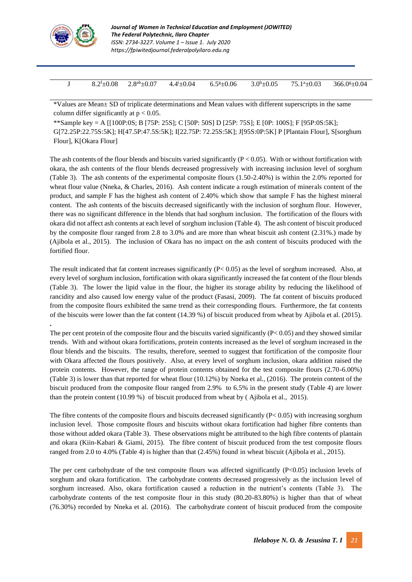

**.**

| $8.2^{\text{t}}\pm0.08$ | $.8^{ab} \pm 0.07$<br>ت. | $-0.04$<br>$\overline{A}$ | $\epsilon$ o<br>$E$ 0.06<br>- - -<br>$\mathsf{U}$ . | $\triangle$<br>$\pm 0.05$<br>J.U | $\pm 0.03$<br>75<br>-1а. | $366.0$ <sup>g</sup> $\pm$ 0.04 |
|-------------------------|--------------------------|---------------------------|-----------------------------------------------------|----------------------------------|--------------------------|---------------------------------|

\*Values are Mean± SD of triplicate determinations and Mean values with different superscripts in the same column differ significantly at  $p < 0.05$ .

\*\*Sample key = A [[100P:0S; B [75P: 25S]; C [50P: 50S] D [25P: 75S]; E [0P: 100S]; F [95P:0S:5K]; G[72.25P:22.75S:5K]; H[47.5P:47.5S:5K]; I[22.75P: 72.25S:5K]; J[95S:0P:5K] P [Plantain Flour], S[sorghum Flour], K[Okara Flour]

The ash contents of the flour blends and biscuits varied significantly  $(P < 0.05)$ . With or without fortification with okara, the ash contents of the flour blends decreased progressively with increasing inclusion level of sorghum (Table 3). The ash contents of the experimental composite flours (1.50-2.40%) is within the 2.0% reported for wheat flour value (Nneka, & Charles, 2016). Ash content indicate a rough estimation of minerals content of the product, and sample F has the highest ash content of 2.40% which show that sample F has the highest mineral content. The ash contents of the biscuits decreased significantly with the inclusion of sorghum flour. However, there was no significant difference in the blends that had sorghum inclusion. The fortification of the flours with okara did not affect ash contents at each level of sorghum inclusion (Table 4). The ash content of biscuit produced by the composite flour ranged from 2.8 to 3.0% and are more than wheat biscuit ash content (2.31%.) made by (Ajibola et al., 2015). The inclusion of Okara has no impact on the ash content of biscuits produced with the fortified flour.

The result indicated that fat content increases significantly  $(P< 0.05)$  as the level of sorghum increased. Also, at every level of sorghum inclusion, fortification with okara significantly increased the fat content of the flour blends (Table 3). The lower the lipid value in the flour, the higher its storage ability by reducing the likelihood of rancidity and also caused low energy value of the product (Fasasi, 2009). The fat content of biscuits produced from the composite flours exhibited the same trend as their corresponding flours. Furthermore, the fat contents of the biscuits were lower than the fat content (14.39 %) of biscuit produced from wheat by Ajibola et al. (2015).

The per cent protein of the composite flour and the biscuits varied significantly  $(P< 0.05)$  and they showed similar trends. With and without okara fortifications, protein contents increased as the level of sorghum increased in the flour blends and the biscuits. The results, therefore, seemed to suggest that fortification of the composite flour with Okara affected the flours positively. Also, at every level of sorghum inclusion, okara addition raised the protein contents. However, the range of protein contents obtained for the test composite flours (2.70-6.00%) (Table 3) is lower than that reported for wheat flour (10.12%) by Nneka et al., (2016). The protein content of the biscuit produced from the composite flour ranged from 2.9% to 6.5% in the present study (Table 4) are lower than the protein content (10.99 %) of biscuit produced from wheat by ( Ajibola et al., 2015).

The fibre contents of the composite flours and biscuits decreased significantly  $(P< 0.05)$  with increasing sorghum inclusion level. Those composite flours and biscuits without okara fortification had higher fibre contents than those without added okara (Table 3). These observations might be attributed to the high fibre contents of plantain and okara (Kiin-Kabari & Giami, 2015). The fibre content of biscuit produced from the test composite flours ranged from 2.0 to 4.0% (Table 4) is higher than that (2.45%) found in wheat biscuit (Ajibola et al., 2015).

The per cent carbohydrate of the test composite flours was affected significantly  $(P<0.05)$  inclusion levels of sorghum and okara fortification. The carbohydrate contents decreased progressively as the inclusion level of sorghum increased. Also, okara fortification caused a reduction in the nutrient's contents (Table 3). The carbohydrate contents of the test composite flour in this study (80.20-83.80%) is higher than that of wheat (76.30%) recorded by Nneka et al. (2016). The carbohydrate content of biscuit produced from the composite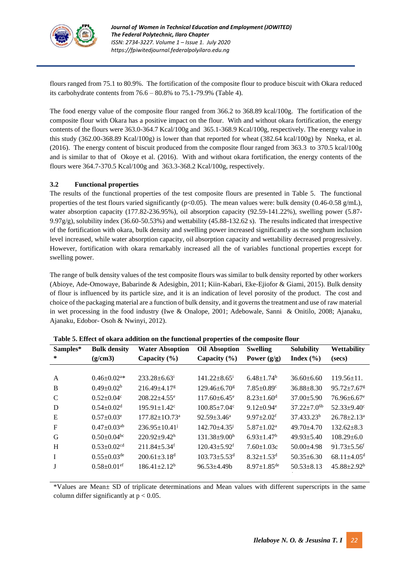

flours ranged from 75.1 to 80.9%. The fortification of the composite flour to produce biscuit with Okara reduced its carbohydrate contents from 76.6 – 80.8% to 75.1-79.9% (Table 4).

The food energy value of the composite flour ranged from 366.2 to 368.89 kcal/100g. The fortification of the composite flour with Okara has a positive impact on the flour. With and without okara fortification, the energy contents of the flours were 363.0-364.7 Kcal/100g and 365.1-368.9 Kcal/100g, respectively. The energy value in this study (362.00-368.89 Kcal/100g) is lower than that reported for wheat (382.64 kcal/100g) by Nneka, et al. (2016). The energy content of biscuit produced from the composite flour ranged from 363.3 to 370.5 kcal/100g and is similar to that of Okoye et al. (2016). With and without okara fortification, the energy contents of the flours were 364.7-370.5 Kcal/100g and 363.3-368.2 Kcal/100g, respectively.

### **3.2 Functional properties**

The results of the functional properties of the test composite flours are presented in Table 5. The functional properties of the test flours varied significantly ( $p<0.05$ ). The mean values were: bulk density (0.46-0.58 g/mL), water absorption capacity (177.82-236.95%), oil absorption capacity (92.59-141.22%), swelling power (5.87- 9.97 $g/g$ ), solubility index (36.60-50.53%) and wettability (45.88-132.62 s). The results indicated that irrespective of the fortification with okara, bulk density and swelling power increased significantly as the sorghum inclusion level increased, while water absorption capacity, oil absorption capacity and wettability decreased progressively. However, fortification with okara remarkably increased all the of variables functional properties except for swelling power.

The range of bulk density values of the test composite flours was similar to bulk density reported by other workers (Abioye, Ade-Omowaye, Babarinde & Adesigbin, 2011; Kiin-Kabari, Eke-Ejiofor & Giami, 2015). Bulk density of flour is influenced by its particle size, and it is an indication of level porosity of the product. The cost and choice of the packaging material are a function of bulk density, and it governs the treatment and use of raw material in wet processing in the food industry (Iwe & Onalope, 2001; Adebowale, Sanni & Onitilo, 2008; Ajanaku, Ajanaku, Edobor- Osoh & Nwinyi, 2012).

| Samples*<br>∗ | <b>Bulk density</b><br>(g/cm3) | <b>Water Absoption</b><br>Capacity $(\% )$ | <b>Oil Absoption</b><br>Capacity $(\% )$ | <b>Swelling</b><br>Power $(g/g)$ | <b>Solubility</b><br>Index $(\% )$ | <b>Wettability</b><br>(secs)  |
|---------------|--------------------------------|--------------------------------------------|------------------------------------------|----------------------------------|------------------------------------|-------------------------------|
|               |                                |                                            |                                          |                                  |                                    |                               |
| $\mathsf{A}$  | $0.46 \pm 0.02$ <sup>a*</sup>  | $233.28 + 6.63$                            | $141.22 + 8.65^{\mathrm{i}}$             | $6.48 \pm 1.74^b$                | $36.60 + 6.60$                     | $119.56 \pm 11.$              |
| B             | $0.49 \pm 0.02^b$              | $216.49 + 4.17$                            | $129.46 + 6.70$ <sup>g</sup>             | $7.85 \pm 0.89$ <sup>c</sup>     | $36.88 + 8.30$                     | $95.72 \pm 7.67$ <sup>g</sup> |
| C             | $0.52 \pm 0.04$ <sup>c</sup>   | $208.22 + 4.55$ <sup>e</sup>               | $117.60 \pm 6.45$ <sup>e</sup>           | $8.23 \pm 1.60$ <sup>d</sup>     | $37.00 \pm 5.90$                   | $76.96 \pm 6.67$ <sup>e</sup> |
| D             | $0.54 + 0.02d$                 | $195.91 \pm 1.42$ <sup>c</sup>             | $100.85 + 7.04$ c                        | $9.12 \pm 0.94$ <sup>e</sup>     | $37.22 \pm 7.0$ <sup>6b</sup>      | $52.33+9.40^{\circ}$          |
| E             | $0.57+0.03^e$                  | $177.82 \pm 10.73$ <sup>a</sup>            | $92.59 + 3.46^a$                         | $9.97 + 2.02$ <sup>f</sup>       | $37.433.23^b$                      | $26.78 \pm 2.13^a$            |
| $\mathbf F$   | $0.47 \pm 0.03$ <sup>ab</sup>  | $236.95 \pm 10.41$                         | $142.70 + 4.35^{\circ}$                  | $5.87 \pm 1.02^{\text{a}}$       | $49.70 + 4.70$                     | $132.62 + 8.3$                |
| G             | $0.50 \pm 0.04$ bc             | $220.92+9.42h$                             | $131.38 + 9.00h$                         | $6.93 + 1.47$ <sup>b</sup>       | $49.93 + 5.40$                     | $108.29 + 6.0$                |
| H             | $0.53 \pm 0.02$ <sup>cd</sup>  | $211.84 + 5.34$ <sup>f</sup>               | $120.43 \pm 5.92$ <sup>f</sup>           | $7.60 \pm 1.03c$                 | $50.00 + 4.98$                     | $91.73 + 5.56^t$              |
| $\mathbf{I}$  | $0.55 \pm 0.03$ <sup>de</sup>  | $200.61 \pm 3.18$ <sup>d</sup>             | $103.73 + 5.53^d$                        | $8.32 \pm 1.53$ <sup>d</sup>     | $50.35 \pm 6.30$                   | $68.11 \pm 4.05$ <sup>d</sup> |
|               | $0.58 \pm 0.01$ <sup>ef</sup>  | $186.41 \pm 2.12^b$                        | $96.53 \pm 4.49 b$                       | $8.97 \pm 1.85$ <sup>de</sup>    | $50.53 + 8.13$                     | $45.88 \pm 2.92^b$            |
|               |                                |                                            |                                          |                                  |                                    |                               |

**Table 5. Effect of okara addition on the functional properties of the composite flour**

\*Values are Mean± SD of triplicate determinations and Mean values with different superscripts in the same column differ significantly at  $p < 0.05$ .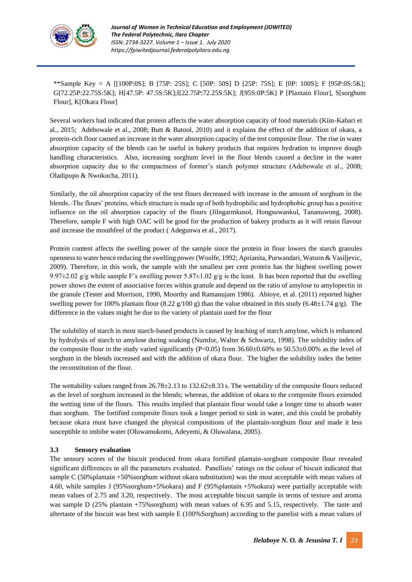

\*\*Sample Key = A [[100P:0S]; B [75P: 25S]; C [50P: 50S] D [25P: 75S]; E [0P: 100S]; F [95P:0S:5K]; G[72.25P:22.75S:5K]; H[47.5P: 47.5S:5K];I[22.75P:72.25S:5K]; J[95S:0P:5K] P [Plantain Flour], S[sorghum Flour], K[Okara Flour]

Several workers had indicated that protein affects the water absorption capacity of food materials (Kiin-Kabari et al., 2015; Adebowale et al., 2008; Butt & Batool, 2010) and it explains the effect of the addition of okara, a protein-rich flour caused an increase in the water absorption capacity of the test composite flour. The rise in water absorption capacity of the blends can be useful in bakery products that requires hydration to improve dough handling characteristics. Also, increasing sorghum level in the flour blends caused a decline in the water absorption capacity due to the compactness of former's starch polymer structure (Adebowale et al., 2008; Oladipupo & Nwokocha, 2011).

Similarly, the oil absorption capacity of the test flours decreased with increase in the amount of sorghum in the blends. The flours' proteins, which structure is made up of both hydrophilic and hydrophobic group has a positive influence on the oil absorption capacity of the flours (Jilngarmkusol, Hongsuwankul, Tananuwong, 2008). Therefore, sample F with high OAC will be good for the production of bakery products as it will retain flavour and increase the mouthfeel of the product ( Adegunwa et al., 2017).

Protein content affects the swelling power of the sample since the protein in flour lowers the starch granules openness to water hence reducing the swelling power (Woolfe, 1992; Aprianita, Purwandari, Watson & Vasiljevic, 2009). Therefore, in this work, the sample with the smallest per cent protein has the highest swelling power 9.97 $\pm$ 2.02 g/g while sample F's swelling power 5.87 $\pm$ 1.02 g/g is the least. It has been reported that the swelling power shows the extent of associative forces within granule and depend on the ratio of amylose to amylopectin in the granule (Tester and Morrison, 1990, Moorthy and Ramanujam 1986). Abioye, et al. (2011) reported higher swelling power for 100% plantain flour (8.22 g/100 g) than the value obtained in this study (6.48±1.74 g/g). The difference in the values might be due to the variety of plantain used for the flour

The solubility of starch in most starch-based products is caused by leaching of starch amylose, which is enhanced by hydrolysis of starch to amylose during soaking (Numfor, Walter & Schwartz, 1998). The solubility index of the composite flour in the study varied significantly ( $P<0.05$ ) from 36.60±0.60% to 50.53±0.00% as the level of sorghum in the blends increased and with the addition of okara flour. The higher the solubility index the better the reconstitution of the flour.

The wettability values ranged from 26.78±2.13 to 132.62±8.33 s. The wettability of the composite flours reduced as the level of sorghum increased in the blends; whereas, the addition of okara to the composite flours extended the wetting time of the flours. This results implied that plantain flour would take a longer time to absorb water than sorghum. The fortified composite flours took a longer period to sink in water, and this could be probably because okara must have changed the physical compositions of the plantain-sorghum flour and made it less susceptible to imbibe water (Oluwamukomi, Adeyemi, & Oluwalana, 2005).

## **3.3 Sensory evaluation**

The sensory scores of the biscuit produced from okara fortified plantain-sorghum composite flour revealed significant differences in all the parameters evaluated. Panellists' ratings on the colour of biscuit indicated that sample C (50%plantain +50%sorghum without okara substitution) was the most acceptable with mean values of 4.60, while samples J (95%sorghum+5%okara) and F (95%plantain +5%okara) were partially acceptable with mean values of 2.75 and 3.20, respectively. The most acceptable biscuit sample in terms of texture and aroma was sample D (25% plantain +75% sorghum) with mean values of 6.95 and 5.15, respectively. The taste and aftertaste of the biscuit was best with sample E (100%Sorghum) according to the panelist with a mean values of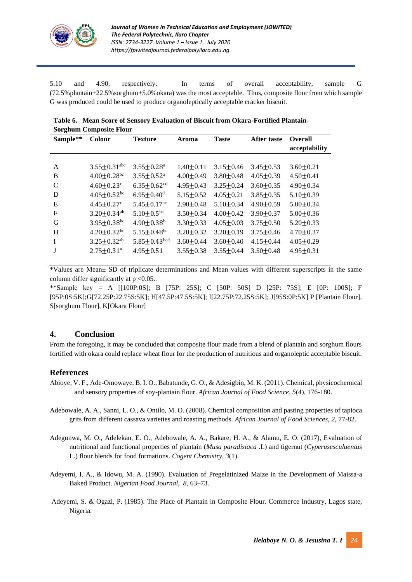

5.10 and 4.90, respectively. In terms of overall acceptability, sample G (72.5%plantain+22.5%sorghum+5.0%okara) was the most acceptable. Thus, composite flour from which sample G was produced could be used to produce organoleptically acceptable cracker biscuit.

| Table 6. Mean Score of Sensory Evaluation of Biscuit from Okara-Fortified Plantain- |
|-------------------------------------------------------------------------------------|
| <b>Sorghum Composite Flour</b>                                                      |

| Sample**      | Colour                         | <b>Texture</b>                | Aroma           | <b>Taste</b>    | <b>After taste</b> | <b>Overall</b>  |
|---------------|--------------------------------|-------------------------------|-----------------|-----------------|--------------------|-----------------|
|               |                                |                               |                 |                 |                    | acceptability   |
|               |                                |                               |                 |                 |                    |                 |
| A             | $3.55 \pm 0.31$ <sup>abc</sup> | $3.55 \pm 0.28$ <sup>a</sup>  | $1.40 \pm 0.11$ | $3.15 \pm 0.46$ | $3.45 \pm 0.53$    | $3.60 \pm 0.21$ |
| B             | $4.00 \pm 0.28$ <sup>bc</sup>  | $3.55 \pm 0.52$ <sup>a</sup>  | $4.00 \pm 0.49$ | $3.80 \pm 0.48$ | $4.05 \pm 0.39$    | $4.50 \pm 0.41$ |
| $\mathcal{C}$ | $4.60 \pm 0.23$ c              | $6.35 \pm 0.62$ <sup>cd</sup> | $4.95 \pm 0.43$ | $3.25 \pm 0.24$ | $3.60 \pm 0.35$    | $4.90 \pm 0.34$ |
| D             | $4.05 \pm 0.52$ <sup>bc</sup>  | $6.95 \pm 0.40$ <sup>d</sup>  | $5.15 + 0.52$   | $4.05 + 0.21$   | $3.85 \pm 0.35$    | $5.10+0.39$     |
| E             | $4.45 \pm 0.27$ °              | $5.45 \pm 0.17$ <sup>bc</sup> | $2.90 \pm 0.48$ | $5.10 \pm 0.34$ | $4.90 \pm 0.59$    | $5.00 \pm 0.34$ |
| $\mathbf F$   | $3.20 \pm 0.34$ <sup>ab</sup>  | $5.10 \pm 0.5^{bc}$           | $3.50 + 0.34$   | $4.00 + 0.42$   | $3.90 \pm 0.37$    | $5.00 \pm 0.36$ |
| G             | $3.95 \pm 0.38$ <sup>bc</sup>  | $4.90 \pm 0.38$ <sup>b</sup>  | $3.30 \pm 0.33$ | $4.05 \pm 0.03$ | $3.75 \pm 0.50$    | $5.20 \pm 0.33$ |
| H             | $4.20 \pm 0.32$ bc             | $5.15 \pm 0.48$ <sup>bc</sup> | $3.20 \pm 0.32$ | $3.20 \pm 0.19$ | $3.75 \pm 0.46$    | $4.70 \pm 0.37$ |
| I             | $3.25 \pm 0.32$ <sup>ab</sup>  | $5.85 \pm 0.43$ bcd           | $3.60 \pm 0.44$ | $3.60 \pm 0.40$ | $4.15 + 0.44$      | $4.05 \pm 0.29$ |
| J             | $2.75 \pm 0.31^a$              | $4.95 \pm 0.51$               | $3.55 \pm 0.38$ | $3.55 \pm 0.44$ | $3.50 \pm 0.48$    | $4.95 \pm 0.31$ |

\*Values are Mean± SD of triplicate determinations and Mean values with different superscripts in the same column differ significantly at  $p < 0.05$ ..

\*\*Sample key = A [[100P:0S]; B [75P: 25S]; C [50P: 50S] D [25P: 75S]; E [0P: 100S]; F [95P:0S:5K];G[72.25P:22.75S:5K]; H[47.5P:47.5S:5K]; I[22.75P:72.25S:5K]; J[95S:0P:5K] P [Plantain Flour], S[sorghum Flour], K[Okara Flour]

# **4. Conclusion**

From the foregoing, it may be concluded that composite flour made from a blend of plantain and sorghum flours fortified with okara could replace wheat flour for the production of nutritious and organoleptic acceptable biscuit.

## **References**

- Abioye, V. F., Ade-Omowaye, B. I. O., Babatunde, G. O., & Adesigbin, M. K. (2011). Chemical, physicochemical and sensory properties of soy-plantain flour. *African Journal of Food Science*, *5*(4), 176-180.
- Adebowale, A. A., Sanni, L. O., & Ontilo, M. O. (2008). Chemical composition and pasting properties of tapioca grits from different cassava varieties and roasting methods. *African Journal of Food Sciences*, *2*, 77-82.
- Adegunwa, M. O., Adelekan, E. O., Adebowale, A. A., Bakare, H. A., & Alamu, E. O. (2017), Evaluation of nutritional and functional properties of plantain (*Musa paradisiaca* .L) and tigernut (*Cyperusesculuentus* L.) flour blends for food formations. *Cogent Chemistry*, *3*(1).
- Adeyemi, I. A., & Idowu, M. A. (1990). Evaluation of Pregelatinized Maize in the Development of Maissa-a Baked Product. *Nigerian Food Journal, 8*, 63–73.
- Adeyemi, S. & Ogazi, P. (1985). The Place of Plantain in Composite Flour. Commerce Industry, Lagos state, Nigeria.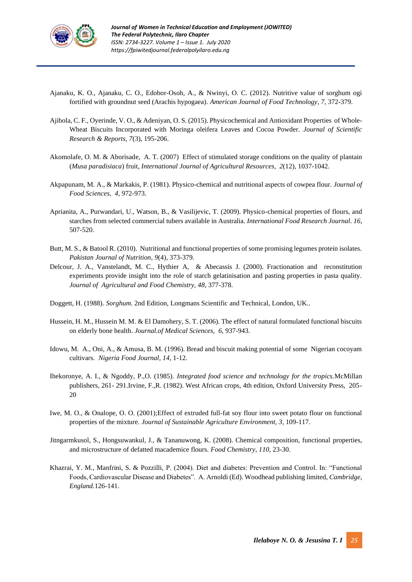

- Ajanaku, K. O., Ajanaku, C. O., Edobor-Osoh, A., & Nwinyi, O. C. (2012). Nutritive value of sorghum ogi fortified with groundnut seed (Arachis hypogaea). *American Journal of Food Technology*, *7*, 372-379.
- Ajibola, C. F., Oyerinde, V. O., & Adeniyan, O. S. (2015). Physicochemical and Antioxidant Properties of Whole-Wheat Biscuits Incorporated with Moringa oleifera Leaves and Cocoa Powder. *Journal of Scientific Research & Reports, 7*(3), 195-206.
- Akomolafe, O. M. & Aborisade, A. T. (2007) Effect of stimulated storage conditions on the quality of plantain (*Musa paradisiaca*) fruit, *International Journal of Agricultural Resources, 2*(12), 1037-1042.
- Akpapunam, M. A., & Markakis, P. (1981). Physico-chemical and nutritional aspects of cowpea flour. *Journal of Food Sciences*, *4,* 972-973.
- Aprianita, A., Purwandari, U., Watson, B., & Vasilijevic, T. (2009). Physico-chemical properties of flours, and starches from selected commercial tubers available in Australia. *International Food Research Journal*. *16*, 507-520.
- Butt, M. S., & Batool R. (2010). Nutritional and functional properties of some promising legumes protein isolates. *Pakistan Journal of Nutrition*, *9*(4), 373-379.
- Delcour, J. A., Vanstelandt, M. C., Hythier A, & Abecassis J. (2000). Fractionation and reconstitution experiments provide insight into the role of starch gelatinisation and pasting properties in pasta quality. *Journal of Agricultural and Food Chemistry, 48*, 377-378.
- Doggett, H. (1988). *Sorghum.* 2nd Edition, Longmans Scientific and Technical, London, UK.*.*
- Hussein, H. M., Hussein M. M. & El Damohery, S. T. (2006). The effect of natural formulated functional biscuits on elderly bone health. *Journal.of Medical Sciences, 6*, 937-943.
- Idowu, M. A., Oni, A., & Amusa, B. M. (1996). Bread and biscuit making potential of some Nigerian cocoyam cultivars*. Nigeria Food Journal, 14*, 1-12*.*
- Ihekoronye, A. I., & Ngoddy, P.,O. (1985). *Integrated food science and technology for the tropics.*McMillan publishers, 261- 291.Irvine, F.,R. (1982). West African crops, 4th edition, Oxford University Press, 205- 20
- Iwe, M. O., & Onalope, O. O. (2001);Effect of extruded full-fat soy flour into sweet potato flour on functional properties of the mixture. *Journal of Sustainable Agriculture Environment, 3*, 109-117.
- Jitngarmkusol, S., Hongsuwankul, J., & Tananuwong, K. (2008). Chemical composition, functional properties, and microstructure of defatted macademice flours. *Food Chemistry*, *110*, 23-30.
- Khazrai, Y. M., Manfrini, S. & Pozzilli, P. (2004). Diet and diabetes: Prevention and Control. In: "Functional Foods, Cardiovascular Disease and Diabetes". A. Arnoldi (Ed). Woodhead publishing limited, *Cambridge, England.*126-141.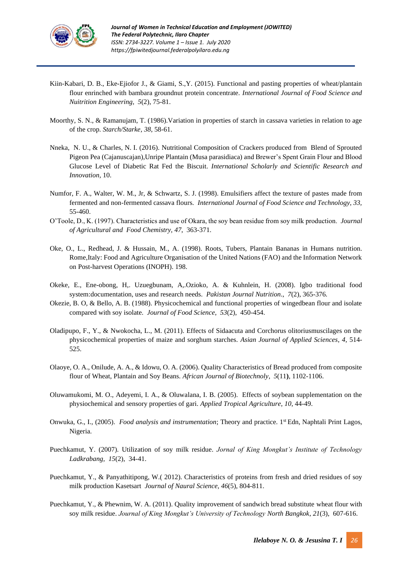

- Kiin-Kabari, D. B., Eke-Ejiofor J., & Giami, S.,Y. (2015). Functional and pasting properties of wheat/plantain flour enrinched with bambara groundnut protein concentrate. *International Journal of Food Science and Nuitrition Engineering*, *5*(2), 75-81.
- Moorthy, S. N., & Ramanujam, T. (1986).Variation in properties of starch in cassava varieties in relation to age of the crop*. Starch/Starke*, *38*, 58-61.
- Nneka, N. U., & Charles, N. I. (2016). Nutritional Composition of Crackers produced from Blend of Sprouted Pigeon Pea (Cajanuscajan),Unripe Plantain (Musa parasidiaca) and Brewer's Spent Grain Flour and Blood Glucose Level of Diabetic Rat Fed the Biscuit. *International Scholarly and Scientific Research and Innovation,* 10.
- Numfor, F. A., Walter, W. M., Jr, & Schwartz, S. J. (1998). Emulsifiers affect the texture of pastes made from fermented and non-fermented cassava flours. *International Journal of Food Science and Technology, 33,* 55-460.
- O'Toole, D., K. (1997). Characteristics and use of Okara, the soy bean residue from soy milk production. *Journal of Agricultural and Food Chemistry, 47*, 363-371.
- Oke, O., L., Redhead, J. & Hussain, M., A. (1998). Roots, Tubers, Plantain Bananas in Humans nutrition. Rome,Italy: Food and Agriculture Organisation of the United Nations (FAO) and the Information Network on Post-harvest Operations (INOPH). 198.
- Okeke, E., Ene-obong, H,. Uzuegbunam, A,.Ozioko, A. & Kuhnlein, H. (2008). Igbo traditional food system:documentation, uses and research needs. *Pakistan Journal Nutrition*., *7*(2), 365-376*.*
- Okezie, B. O, & Bello, A. B. (1988). Physicochemical and functional properties of wingedbean flour and isolate compared with soy isolate. *Journal of Food Science*, *53*(2), 450-454.
- Oladipupo, F., Y., & Nwokocha, L., M. (2011). Effects of Sidaacuta and Corchorus olitoriusmuscilages on the physicochemical properties of maize and sorghum starches. *Asian Journal of Applied Sciences*, *4*, 514- 525.
- Olaoye, O. A., Onilude, A. A., & Idowu, O. A. (2006). Quality Characteristics of Bread produced from composite flour of Wheat, Plantain and Soy Beans*. African Journal of Biotechnoly*, *5*(11**)**, 1102-1106.
- Oluwamukomi, M. O., Adeyemi, I. A., & Oluwalana, I. B. (2005). Effects of soybean supplementation on the physiochemical and sensory properties of gari. *Applied Tropical Agriculture*, *10*, 44-49.
- Onwuka, G., I., (2005). *Food analysis and instrumentation*; Theory and practice. 1<sup>st</sup> Edn, Naphtali Print Lagos, Nigeria.
- Puechkamut, Y. (2007). Utilization of soy milk residue. *Jornal of King Mongkut's Institute of Technology Ladkrabang, 15*(2), 34-41.
- Puechkamut, Y., & Panyathitipong, W.( 2012). Characteristics of proteins from fresh and dried residues of soy milk production Kasetsart *Journal of Naural Science, 46*(5), 804-811.
- Puechkamut, Y., & Phewnim, W. A. (2011). Quality improvement of sandwich bread substitute wheat flour with soy milk residue. *Journal of King Mongkut's University of Technology North Bangkok*, *21*(3), 607-616.